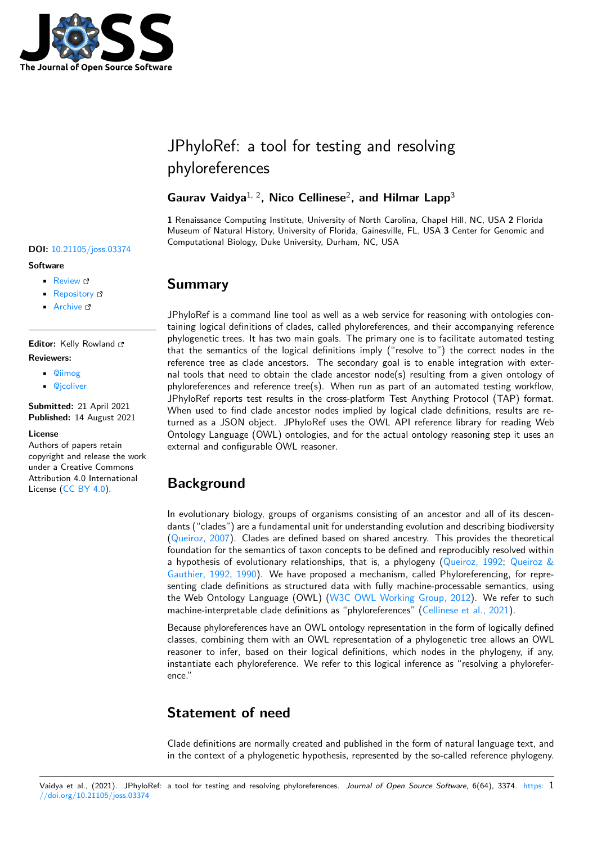

# JPhyloRef: a tool for testing and resolving phyloreferences

## Gaurav Vaidya<sup>1, 2</sup>, Nico Cellinese<sup>2</sup>, and Hilmar Lapp<sup>3</sup>

**1** Renaissance Computing Institute, University of North Carolina, Chapel Hill, NC, USA **2** Florida Museum of Natural History, University of Florida, Gainesville, FL, USA **3** Center for Genomic and Computational Biology, Duke University, Durham, NC, USA

# **Summary**

JPhyloRef is a command line tool as well as a web service for reasoning with ontologies containing logical definitions of clades, called phyloreferences, and their accompanying reference phylogenetic trees. It has two main goals. The primary one is to facilitate automated testing that the semantics of the logical definitions imply ("resolve to") the correct nodes in the reference tree as clade ancestors. The secondary goal is to enable integration with external tools that need to obtain the clade ancestor node(s) resulting from a given ontology of phyloreferences and reference tree(s). When run as part of an automated testing workflow, JPhyloRef reports test results in the cross-platform Test Anything Protocol (TAP) format. When used to find clade ancestor nodes implied by logical clade definitions, results are returned as a JSON object. JPhyloRef uses the OWL API reference library for reading Web Ontology Language (OWL) ontologies, and for the actual ontology reasoning step it uses an external and configurable OWL reasoner.

# **Background**

In evolutionary biology, groups of organisms consisting of an ancestor and all of its descendants ("clades") are a fundamental unit for understanding evolution and describing biodiversity (Queiroz, 2007). Clades are defined based on shared ancestry. This provides the theoretical foundation for the semantics of taxon concepts to be defined and reproducibly resolved within a hypothesis of evolutionary relationships, that is, a phylogeny (Queiroz, 1992; Queiroz & Gauthier, 1992, 1990). We have proposed a mechanism, called Phyloreferencing, for repres[enting clade d](#page-2-0)efinitions as structured data with fully machine-processable semantics, using the Web Ontology Language (OWL) (W3C OWL Working Group, 2012). We refer to such machine-interpretable clade definitions as "phyloreferences" (Celli[nese et al., 202](#page-2-1)1[\).](#page-2-2)

[Because phylore](#page-2-2)[ferenc](#page-2-3)es have an OWL ontology representation in the form of logically defined classes, combining them with an OWL representation of a phylogenetic tree allows an OWL reasoner to infer, based on their logi[cal definitions, which nodes in th](#page-2-4)e phylogeny, if any, instantiate each phyloreference. We refer to this logical infe[rence as "resolving a](#page-2-5) phyloreference."

# **Statement of need**

Clade definitions are normally created and published in the form of natural language text, and in the context of a phylogenetic hypothesis, represented by the so-called reference phylogeny.

#### **DOI:** 10.21105/joss.03374

#### **Software**

- Review C
- [Repository](https://doi.org/10.21105/joss.03374) &
- Archive

#### **Editor:** [Kelly Row](https://github.com/phyloref/jphyloref)land **Revie[wers:](https://doi.org/10.5281/zenodo.5178723)**

- @iimog
- @jcoliver

**Submitted:** 21 April 2021 **Publi[shed:](https://github.com/iimog)** 14 August 2021

#### **Licen[se](https://github.com/jcoliver)**

Authors of papers retain copyright and release the work under a Creative Commons Attribution 4.0 International License (CC BY 4.0).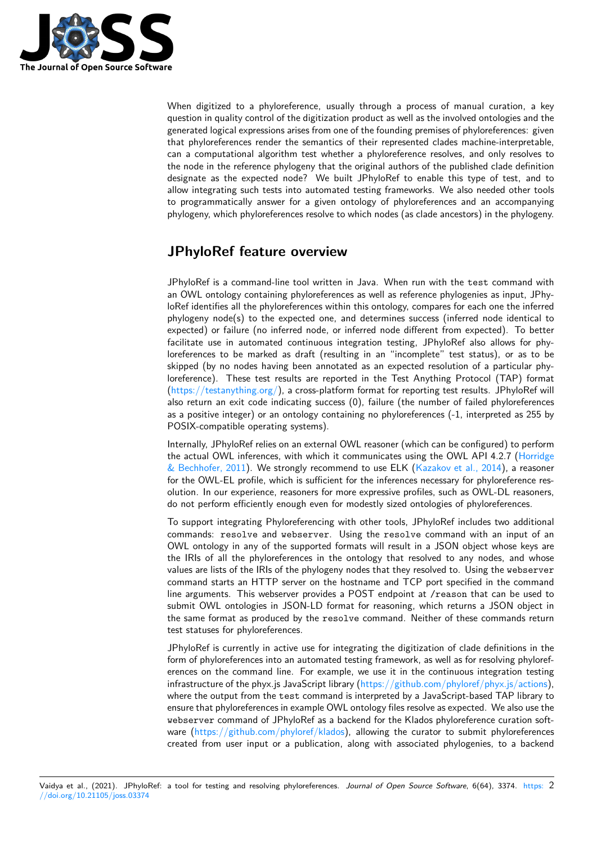

When digitized to a phyloreference, usually through a process of manual curation, a key question in quality control of the digitization product as well as the involved ontologies and the generated logical expressions arises from one of the founding premises of phyloreferences: given that phyloreferences render the semantics of their represented clades machine-interpretable, can a computational algorithm test whether a phyloreference resolves, and only resolves to the node in the reference phylogeny that the original authors of the published clade definition designate as the expected node? We built JPhyloRef to enable this type of test, and to allow integrating such tests into automated testing frameworks. We also needed other tools to programmatically answer for a given ontology of phyloreferences and an accompanying phylogeny, which phyloreferences resolve to which nodes (as clade ancestors) in the phylogeny.

# **JPhyloRef feature overview**

JPhyloRef is a command-line tool written in Java. When run with the test command with an OWL ontology containing phyloreferences as well as reference phylogenies as input, JPhyloRef identifies all the phyloreferences within this ontology, compares for each one the inferred phylogeny node(s) to the expected one, and determines success (inferred node identical to expected) or failure (no inferred node, or inferred node different from expected). To better facilitate use in automated continuous integration testing, JPhyloRef also allows for phyloreferences to be marked as draft (resulting in an "incomplete" test status), or as to be skipped (by no nodes having been annotated as an expected resolution of a particular phyloreference). These test results are reported in the Test Anything Protocol (TAP) format (https://testanything.org/), a cross-platform format for reporting test results. JPhyloRef will also return an exit code indicating success (0), failure (the number of failed phyloreferences as a positive integer) or an ontology containing no phyloreferences (-1, interpreted as 255 by POSIX-compatible operating systems).

I[nternally, JPhyloRef relies](https://testanything.org/) on an external OWL reasoner (which can be configured) to perform the actual OWL inferences, with which it communicates using the OWL API 4.2.7 (Horridge & Bechhofer, 2011). We strongly recommend to use ELK (Kazakov et al., 2014), a reasoner for the OWL-EL profile, which is sufficient for the inferences necessary for phyloreference resolution. In our experience, reasoners for more expressive profiles, such as OWL-DL reasoners, do not perform efficiently enough even for modestly sized ontologies of phyloreferen[ces.](#page-2-6)

[To support integra](#page-2-6)ting Phyloreferencing with other tools, [JPhyloRef includes tw](#page-2-7)o additional commands: resolve and webserver. Using the resolve command with an input of an OWL ontology in any of the supported formats will result in a JSON object whose keys are the IRIs of all the phyloreferences in the ontology that resolved to any nodes, and whose values are lists of the IRIs of the phylogeny nodes that they resolved to. Using the webserver command starts an HTTP server on the hostname and TCP port specified in the command line arguments. This webserver provides a POST endpoint at /reason that can be used to submit OWL ontologies in JSON-LD format for reasoning, which returns a JSON object in the same format as produced by the resolve command. Neither of these commands return test statuses for phyloreferences.

JPhyloRef is currently in active use for integrating the digitization of clade definitions in the form of phyloreferences into an automated testing framework, as well as for resolving phyloreferences on the command line. For example, we use it in the continuous integration testing infrastructure of the phyx.js JavaScript library (https://github.com/phyloref/phyx.js/actions), where the output from the test command is interpreted by a JavaScript-based TAP library to ensure that phyloreferences in example OWL ontology files resolve as expected. We also use the webserver command of JPhyloRef as a backend for the Klados phyloreference curation software  $(https://github.com/phyloref/klados)$ , a[llowing the curator to submit phyloreference](https://github.com/phyloref/phyx.js/actions)s created from user input or a publication, along with associated phylogenies, to a backend